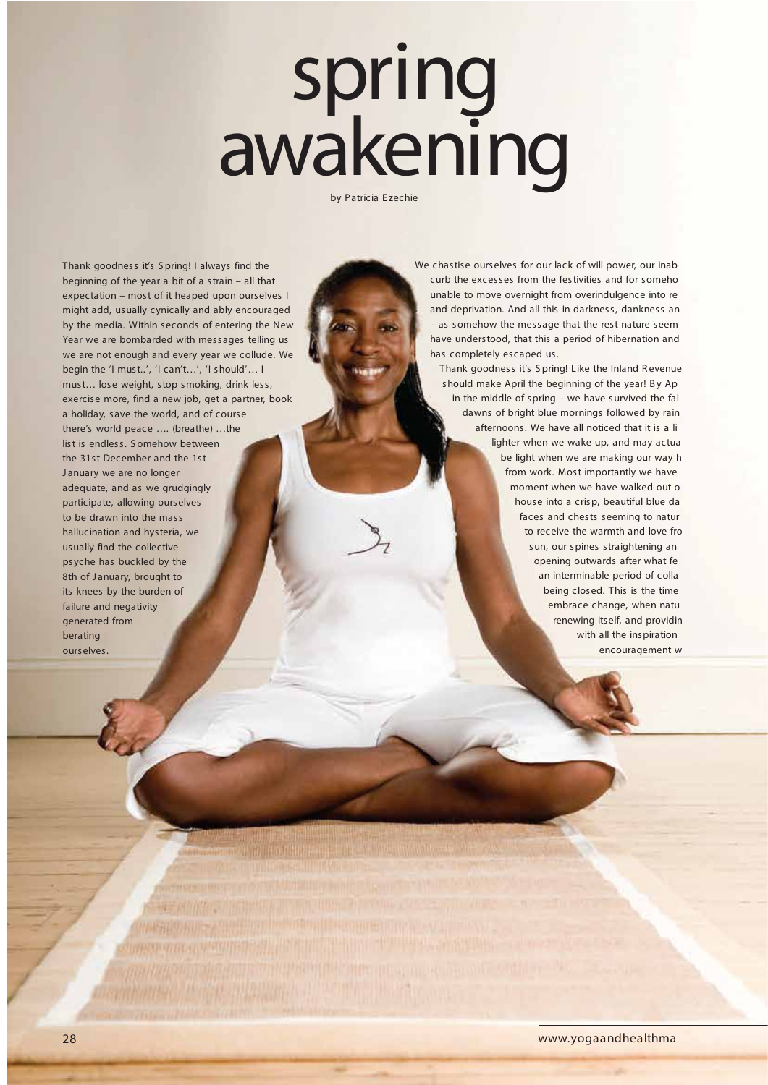## spring awakening

by Patricia Ezechie

Thank goodness it's S pring! I always find the beginning of the year a bit of a strain – all that expectation – most of it heaped upon ourselves I might add, usually cynically and ably encouraged by the media. Within seconds of entering the New Year we are bombarded with messages telling us we are not enough and every year we collude. We begin the 'I must..', 'I can't…', 'I should'… I must… lose weight, stop smoking, drink less, exercise more, find a new job, get a partner, book a holiday, save the world, and of course there's world peace …. (breathe) …the list is endless. S omehow between the 31st December and the 1st January we are no longer adequate, and as we grudgingly participate, allowing ourselves to be drawn into the mass hallucination and hysteria, we usually find the collective psyche has buckled by the 8th of January, brought to its knees by the burden of failure and negativity generated from berating

We chastise ourselves for our lack of will power, our inab curb the excesses from the festivities and for someho unable to move overnight from overindulgence into re and deprivation. And all this in darkness, dankness an – as somehow the message that the rest nature seem have understood, that this a period of hibernation and has completely escaped us.

Thank goodness it's S pring! Like the Inland R evenue should make April the beginning of the year! By Ap in the middle of spring – we have survived the fal dawns of bright blue mornings followed by rain afternoons. We have all noticed that it is a li lighter when we wake up, and may actua be light when we are making our way h from work. Most importantly we have moment when we have walked out o house into a crisp, beautiful blue da faces and chests seeming to natur to receive the warmth and love fro sun, our spines straightening an opening outwards after what fe an interminable period of colla being closed. This is the time embrace change, when natu renewing itself, and providin with all the inspiration encouragement w

ourselves.